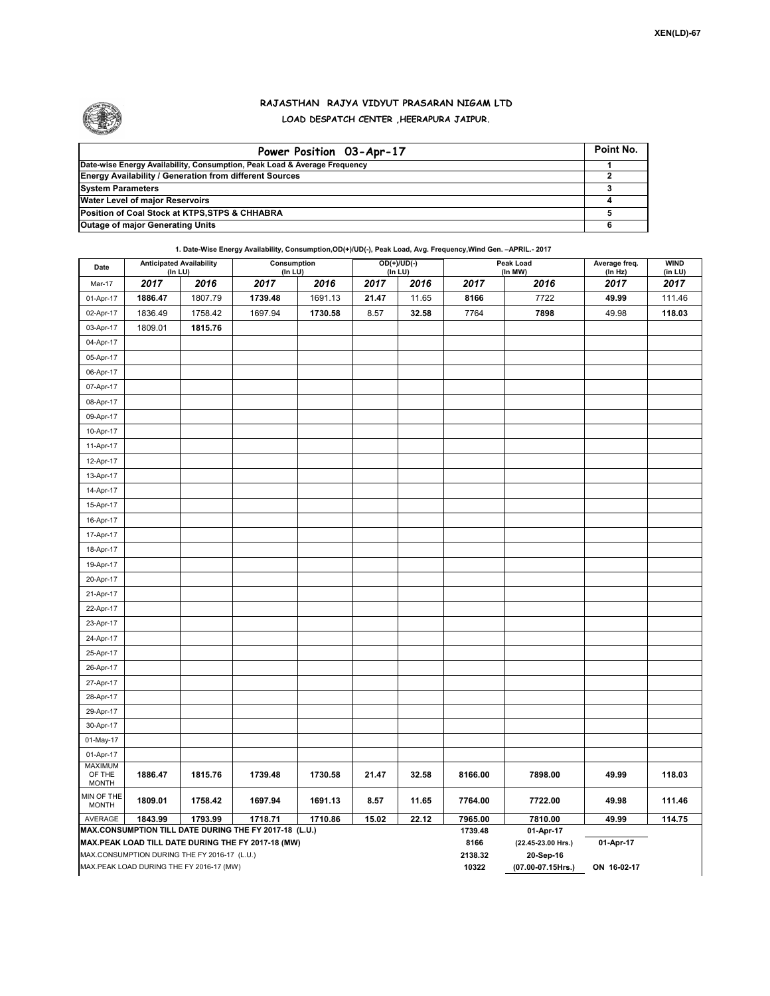

## **RAJASTHAN RAJYA VIDYUT PRASARAN NIGAM LTD LOAD DESPATCH CENTER ,HEERAPURA JAIPUR.**

| Power Position 03-Apr-17                                                  | Point No. |
|---------------------------------------------------------------------------|-----------|
| Date-wise Energy Availability, Consumption, Peak Load & Average Frequency |           |
| <b>Energy Availability / Generation from different Sources</b>            |           |
| <b>System Parameters</b>                                                  |           |
| <b>Water Level of major Reservoirs</b>                                    |           |
| Position of Coal Stock at KTPS, STPS & CHHABRA                            |           |
| <b>Outage of major Generating Units</b>                                   |           |

## **1. Date-Wise Energy Availability, Consumption,OD(+)/UD(-), Peak Load, Avg. Frequency,Wind Gen. –APRIL.- 2017**

| Date                       | <b>Anticipated Availability</b><br>(In LU)   |         | Consumption<br>(In LU)                                 |         | $\overline{OD(+) / UD(.)}$<br>(In LU) |             |                 | Peak Load<br>(In MW)            | Average freq.<br>(In Hz) | <b>WIND</b><br>(in LU) |
|----------------------------|----------------------------------------------|---------|--------------------------------------------------------|---------|---------------------------------------|-------------|-----------------|---------------------------------|--------------------------|------------------------|
| Mar-17                     | 2017                                         | 2016    | 2017                                                   | 2016    | 2017                                  | 2016        | 2017            | 2016                            | 2017                     | 2017                   |
| 01-Apr-17                  | 1886.47                                      | 1807.79 | 1739.48                                                | 1691.13 | 21.47                                 | 11.65       | 8166            | 7722                            | 49.99                    | 111.46                 |
| 02-Apr-17                  | 1836.49                                      | 1758.42 | 1697.94                                                | 1730.58 | 8.57                                  | 32.58       | 7764            | 7898                            | 49.98                    | 118.03                 |
| 03-Apr-17                  | 1809.01                                      | 1815.76 |                                                        |         |                                       |             |                 |                                 |                          |                        |
| 04-Apr-17                  |                                              |         |                                                        |         |                                       |             |                 |                                 |                          |                        |
| 05-Apr-17                  |                                              |         |                                                        |         |                                       |             |                 |                                 |                          |                        |
| 06-Apr-17                  |                                              |         |                                                        |         |                                       |             |                 |                                 |                          |                        |
| 07-Apr-17                  |                                              |         |                                                        |         |                                       |             |                 |                                 |                          |                        |
| 08-Apr-17                  |                                              |         |                                                        |         |                                       |             |                 |                                 |                          |                        |
| 09-Apr-17                  |                                              |         |                                                        |         |                                       |             |                 |                                 |                          |                        |
| 10-Apr-17                  |                                              |         |                                                        |         |                                       |             |                 |                                 |                          |                        |
| 11-Apr-17                  |                                              |         |                                                        |         |                                       |             |                 |                                 |                          |                        |
| 12-Apr-17                  |                                              |         |                                                        |         |                                       |             |                 |                                 |                          |                        |
| 13-Apr-17                  |                                              |         |                                                        |         |                                       |             |                 |                                 |                          |                        |
| 14-Apr-17                  |                                              |         |                                                        |         |                                       |             |                 |                                 |                          |                        |
| 15-Apr-17                  |                                              |         |                                                        |         |                                       |             |                 |                                 |                          |                        |
| 16-Apr-17                  |                                              |         |                                                        |         |                                       |             |                 |                                 |                          |                        |
| 17-Apr-17                  |                                              |         |                                                        |         |                                       |             |                 |                                 |                          |                        |
| 18-Apr-17                  |                                              |         |                                                        |         |                                       |             |                 |                                 |                          |                        |
| 19-Apr-17                  |                                              |         |                                                        |         |                                       |             |                 |                                 |                          |                        |
| 20-Apr-17                  |                                              |         |                                                        |         |                                       |             |                 |                                 |                          |                        |
| 21-Apr-17                  |                                              |         |                                                        |         |                                       |             |                 |                                 |                          |                        |
| 22-Apr-17                  |                                              |         |                                                        |         |                                       |             |                 |                                 |                          |                        |
| 23-Apr-17                  |                                              |         |                                                        |         |                                       |             |                 |                                 |                          |                        |
| 24-Apr-17                  |                                              |         |                                                        |         |                                       |             |                 |                                 |                          |                        |
| 25-Apr-17                  |                                              |         |                                                        |         |                                       |             |                 |                                 |                          |                        |
| 26-Apr-17                  |                                              |         |                                                        |         |                                       |             |                 |                                 |                          |                        |
| 27-Apr-17                  |                                              |         |                                                        |         |                                       |             |                 |                                 |                          |                        |
| 28-Apr-17                  |                                              |         |                                                        |         |                                       |             |                 |                                 |                          |                        |
| 29-Apr-17                  |                                              |         |                                                        |         |                                       |             |                 |                                 |                          |                        |
| 30-Apr-17                  |                                              |         |                                                        |         |                                       |             |                 |                                 |                          |                        |
| 01-May-17                  |                                              |         |                                                        |         |                                       |             |                 |                                 |                          |                        |
| 01-Apr-17                  |                                              |         |                                                        |         |                                       |             |                 |                                 |                          |                        |
| <b>MAXIMUM</b><br>OF THE   | 1886.47                                      | 1815.76 | 1739.48                                                | 1730.58 | 21.47                                 | 32.58       | 8166.00         | 7898.00                         | 49.99                    | 118.03                 |
| <b>MONTH</b>               |                                              |         |                                                        |         |                                       |             |                 |                                 |                          |                        |
| MIN OF THE<br><b>MONTH</b> | 1809.01                                      | 1758.42 | 1697.94                                                | 1691.13 | 8.57                                  | 11.65       | 7764.00         | 7722.00                         | 49.98                    | 111.46                 |
| AVERAGE                    | 1843.99                                      | 1793.99 | 1718.71                                                | 1710.86 | 15.02                                 | 22.12       | 7965.00         | 7810.00                         | 49.99                    | 114.75                 |
|                            |                                              |         | MAX.CONSUMPTION TILL DATE DURING THE FY 2017-18 (L.U.) |         |                                       |             | 1739.48         | 01-Apr-17                       |                          |                        |
|                            | MAX.CONSUMPTION DURING THE FY 2016-17 (L.U.) |         | MAX.PEAK LOAD TILL DATE DURING THE FY 2017-18 (MW)     |         |                                       |             | 8166<br>2138.32 | (22.45-23.00 Hrs.)<br>20-Sep-16 | 01-Apr-17                |                        |
|                            | MAX.PEAK LOAD DURING THE FY 2016-17 (MW)     |         |                                                        | 10322   | (07.00-07.15Hrs.)                     | ON 16-02-17 |                 |                                 |                          |                        |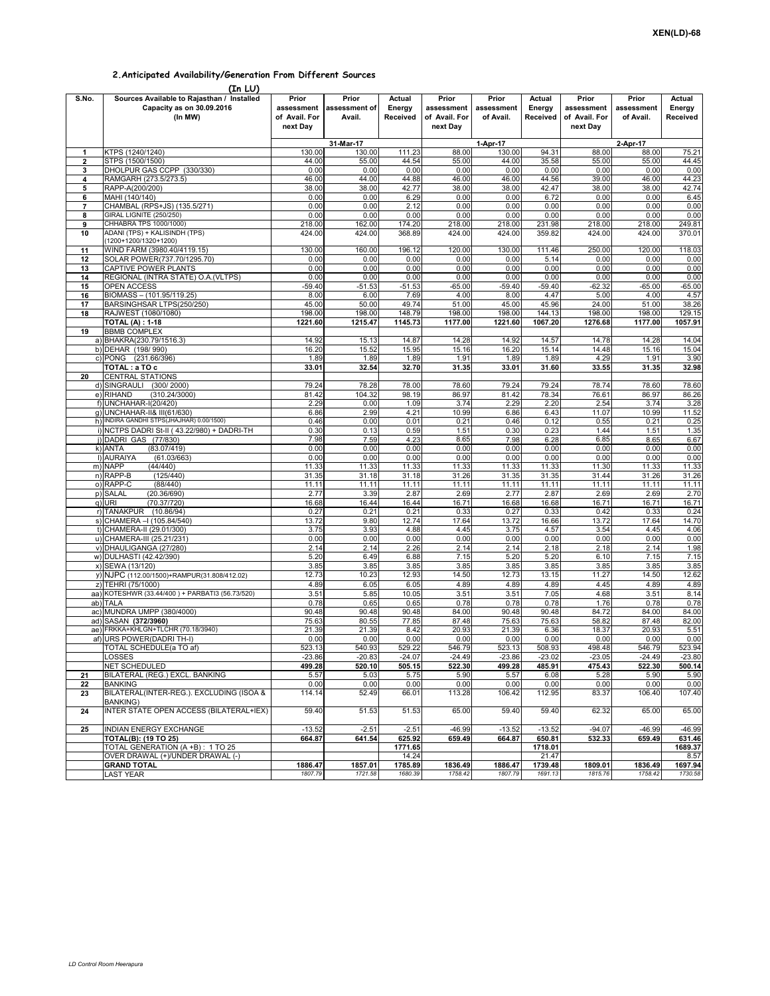## **2.Anticipated Availability/Generation From Different Sources**

| $(Tn \mid \mathbf{I})$ |
|------------------------|

|              | (In LU)                                                                            |                                                  |                                  |                              |                                                  |                                  |                              |                                                  |                                  |                              |
|--------------|------------------------------------------------------------------------------------|--------------------------------------------------|----------------------------------|------------------------------|--------------------------------------------------|----------------------------------|------------------------------|--------------------------------------------------|----------------------------------|------------------------------|
| S.No.        | Sources Available to Rajasthan / Installed<br>Capacity as on 30.09.2016<br>(In MW) | Prior<br>assessment<br>of Avail. For<br>next Day | Prior<br>assessment of<br>Avail. | Actual<br>Energy<br>Received | Prior<br>assessment<br>of Avail. For<br>next Day | Prior<br>assessment<br>of Avail. | Actual<br>Energy<br>Received | Prior<br>assessment<br>of Avail. For<br>next Day | Prior<br>assessment<br>of Avail. | Actual<br>Energy<br>Received |
|              |                                                                                    |                                                  | 31-Mar-17                        |                              |                                                  | 1-Apr-17                         |                              |                                                  | 2-Apr-17                         |                              |
| $\mathbf{1}$ | KTPS (1240/1240)                                                                   | 130.00                                           | 130.00                           | 111.23                       | 88.00                                            | 130.00                           | 94.31                        | 88.00                                            | 88.00                            | 75.21                        |
| 2            | STPS (1500/1500)                                                                   | 44.00                                            | 55.00                            | 44.54                        | 55.00                                            | 44.00                            | 35.58                        | 55.00                                            | 55.00                            | 44.45                        |
| 3            | DHOLPUR GAS CCPP (330/330)                                                         | 0.00                                             | 0.00                             | 0.00                         | 0.00                                             | 0.00                             | 0.00                         | 0.00                                             | 0.00                             | 0.00                         |
| 4            | RAMGARH (273.5/273.5)                                                              | 46.00                                            | 44.00                            | 44.88                        | 46.00                                            | 46.00                            | 44.56                        | 39.00                                            | 46.00                            | 44.23                        |
| 5            | RAPP-A(200/200)                                                                    | 38.00                                            | 38.00                            | 42.77                        | 38.00                                            | 38.00                            | 42.47                        | 38.00                                            | 38.00                            | 42.74                        |
| 6            | MAHI (140/140)                                                                     | 0.00                                             | 0.00                             | 6.29                         | 0.00                                             | 0.00                             | 6.72                         | 0.00                                             | 0.00                             | 6.45                         |
| 7            | CHAMBAL (RPS+JS) (135.5/271)                                                       | 0.00                                             | 0.00                             | 2.12                         | 0.00                                             | 0.00                             | 0.00                         | 0.00                                             | 0.00                             | 0.00                         |
| 8<br>9       | GIRAL LIGNITE (250/250)<br>CHHABRA TPS 1000/1000)                                  | 0.00<br>218.00                                   | 0.00<br>162.00                   | 0.00<br>174.20               | 0.00<br>218.00                                   | 0.00<br>218.00                   | 0.00<br>231.98               | 0.00<br>218.00                                   | 0.00<br>218.00                   | 0.00<br>249.81               |
| 10           | ADANI (TPS) + KALISINDH (TPS)<br>(1200+1200/1320+1200)                             | 424.00                                           | 424.00                           | 368.89                       | 424.00                                           | 424.00                           | 359.82                       | 424.00                                           | 424.00                           | 370.01                       |
| 11           | WIND FARM (3980.40/4119.15)                                                        | 130.00                                           | 160.00                           | 196.12                       | 120.00                                           | 130.00                           | 111.46                       | 250.00                                           | 120.00                           | 118.03                       |
| 12           | SOLAR POWER(737.70/1295.70)                                                        | 0.00                                             | 0.00                             | 0.00                         | 0.00                                             | 0.00                             | 5.14                         | 0.00                                             | 0.00                             | 0.00                         |
| 13           | CAPTIVE POWER PLANTS                                                               | 0.00                                             | 0.00                             | 0.00                         | 0.00                                             | 0.00                             | 0.00                         | 0.00                                             | 0.00                             | 0.00                         |
| 14           | REGIONAL (INTRA STATE) O.A. (VLTPS)                                                | 0.00                                             | 0.00                             | 0.00                         | 0.00                                             | 0.00                             | 0.00                         | 0.00                                             | 0.00                             | 0.00                         |
| 15           | OPEN ACCESS                                                                        | $-59.40$                                         | $-51.53$                         | $-51.53$                     | $-65.00$                                         | $-59.40$                         | $-59.40$                     | $-62.32$                                         | $-65.00$                         | $-65.00$                     |
| 16           | BIOMASS - (101.95/119.25)                                                          | 8.00                                             | 6.00                             | 7.69                         | 4.00                                             | 8.00                             | 4.47                         | 5.00                                             | 4.00                             | 4.57                         |
| 17           | BARSINGHSAR LTPS(250/250)                                                          | 45.00                                            | 50.00                            | 49.74                        | 51.00                                            | 45.00                            | 45.96                        | 24.00                                            | 51.00                            | 38.26                        |
| 18           | RAJWEST (1080/1080)                                                                | 198.00                                           | 198.00                           | 148.79                       | 198.00                                           | 198.00                           | 144.13                       | 198.00                                           | 198.00                           | 129.15                       |
|              | <b>TOTAL (A): 1-18</b>                                                             | 1221.60                                          | 1215.47                          | 1145.73                      | 1177.00                                          | 1221.60                          | 1067.20                      | 1276.68                                          | 1177.00                          | 1057.91                      |
| 19           | <b>BBMB COMPLEX</b>                                                                |                                                  |                                  |                              |                                                  |                                  |                              |                                                  |                                  |                              |
|              | a) BHAKRA(230.79/1516.3)<br>b) DEHAR (198/990)                                     | 14.92<br>16.20                                   | 15.13<br>15.52                   | 14.87<br>15.95               | 14.28<br>15.16                                   | 14.92<br>16.20                   | 14.57<br>15.14               | 14.78<br>14.48                                   | 14.28<br>15.16                   | 14.04<br>15.04               |
|              | c) PONG (231.66/396)                                                               | 1.89                                             | 1.89                             | 1.89                         | 1.91                                             | 1.89                             | 1.89                         | 4.29                                             | 1.91                             | 3.90                         |
|              | TOTAL: a TO c                                                                      | 33.01                                            | 32.54                            | 32.70                        | 31.35                                            | 33.01                            | 31.60                        | 33.55                                            | 31.35                            | 32.98                        |
| 20           | CENTRAL STATIONS                                                                   |                                                  |                                  |                              |                                                  |                                  |                              |                                                  |                                  |                              |
|              | d) SINGRAULI (300/2000)                                                            | 79.24                                            | 78.28                            | 78.00                        | 78.60                                            | 79.24                            | 79.24                        | 78.74                                            | 78.60                            | 78.60                        |
|              | (310.24/3000)<br>e) RIHAND                                                         | 81.42                                            | 104.32                           | 98.19                        | 86.97                                            | 81.42                            | 78.34                        | 76.61                                            | 86.97                            | 86.26                        |
|              | f) UNCHAHAR-I(20/420)                                                              | 2.29                                             | 0.00                             | 1.09                         | 3.74                                             | 2.29                             | 2.20                         | 2.54                                             | 3.74                             | 3.28                         |
|              | g) UNCHAHAR-II& III(61/630)                                                        | 6.86                                             | 2.99                             | 4.21                         | 10.99                                            | 6.86                             | 6.43                         | 11.07                                            | 10.99                            | 11.52                        |
|              | h) INDIRA GANDHI STPS(JHAJHAR) 0.00/1500)                                          | 0.46                                             | 0.00                             | 0.01                         | 0.21                                             | 0.46                             | 0.12                         | 0.55                                             | 0.21                             | 0.25                         |
|              | i) NCTPS DADRI St-II (43.22/980) + DADRI-TH                                        | 0.30                                             | 0.13                             | 0.59                         | 1.51                                             | 0.30                             | 0.23                         | 1.44                                             | 1.51                             | 1.35                         |
|              | j) DADRI GAS (77/830)<br>(83.07/419)                                               | 7.98<br>0.00                                     | 7.59<br>0.00                     | 4.23<br>0.00                 | 8.65<br>0.00                                     | 7.98<br>0.00                     | 6.28<br>0.00                 | 6.85<br>0.00                                     | 8.65<br>0.00                     | 6.67<br>0.00                 |
|              | k) ANTA<br>I) AURAIYA<br>(61.03/663)                                               | 0.00                                             | 0.00                             | 0.00                         | 0.00                                             | 0.00                             | 0.00                         | 0.00                                             | 0.00                             | 0.00                         |
|              | (44/440)<br>m) NAPP                                                                | 11.33                                            | 11.33                            | 11.33                        | 11.33                                            | 11.33                            | 11.33                        | 11.30                                            | 11.33                            | 11.33                        |
|              | n) RAPP-B<br>(125/440)                                                             | 31.35                                            | 31.18                            | 31.18                        | 31.26                                            | 31.35                            | 31.35                        | 31.44                                            | 31.26                            | 31.26                        |
|              | o) RAPP-C<br>(88/440)                                                              | 11.11                                            | 11.11                            | 11.11                        | 11.11                                            | 11.11                            | 11.11                        | 11.11                                            | 11.11                            | 11.11                        |
|              | p) SALAL<br>(20.36/690)                                                            | 2.77                                             | 3.39                             | 2.87                         | 2.69                                             | 2.77                             | 2.87                         | 2.69                                             | 2.69                             | 2.70                         |
|              | q) URI<br>(70.37/720)                                                              | 16.68                                            | 16.44                            | 16.44                        | 16.71                                            | 16.68                            | 16.68                        | 16.71                                            | 16.71                            | 16.71                        |
|              | r) TANAKPUR (10.86/94)                                                             | 0.27                                             | 0.21                             | 0.21                         | 0.33                                             | 0.27                             | 0.33                         | 0.42                                             | 0.33                             | 0.24                         |
|              | s) CHAMERA - (105.84/540)                                                          | 13.72                                            | 9.80                             | 12.74                        | 17.64                                            | 13.72                            | 16.66                        | 13.72                                            | 17.64                            | 14.70                        |
|              | t) CHAMERA-II (29.01/300)                                                          | 3.75                                             | 3.93                             | 4.88                         | 4.45                                             | 3.75                             | 4.57                         | 3.54                                             | 4.45                             | 4.06                         |
|              | u) CHAMERA-III (25.21/231)                                                         | 0.00                                             | 0.00                             | 0.00                         | 0.00                                             | 0.00                             | 0.00                         | 0.00                                             | 0.00                             | 0.00                         |
|              | v) DHAULIGANGA (27/280)                                                            | 2.14                                             | 2.14                             | 2.26                         | 2.14                                             | 2.14                             | 2.18                         | 2.18                                             | 2.14                             | 1.98                         |
|              | w) DULHASTI (42.42/390)<br>x) SEWA (13/120)                                        | 5.20<br>3.85                                     | 6.49<br>3.85                     | 6.88<br>3.85                 | 7.15<br>3.85                                     | 5.20<br>3.85                     | 5.20<br>3.85                 | 6.10<br>3.85                                     | 7.15<br>3.85                     | 7.15<br>3.85                 |
|              | y) NJPC (112.00/1500)+RAMPUR(31.808/412.02)                                        | 12.73                                            | 10.23                            | 12.93                        | 14.50                                            | 12.73                            | 13.15                        | 11.27                                            | 14.50                            | 12.62                        |
|              | z) TEHRI (75/1000)                                                                 | 4.89                                             | 6.05                             | 6.05                         | 4.89                                             | 4.89                             | 4.89                         | 4.45                                             | 4.89                             | 4.89                         |
|              | aa) KOTESHWR (33.44/400) + PARBATI3 (56.73/520)                                    | 3.51                                             | 5.85                             | 10.05                        | 3.51                                             | 3.51                             | 7.05                         | 4.68                                             | 3.51                             | 8.14                         |
|              | ab) TALA                                                                           | 0.78                                             | 0.65                             | 0.65                         | 0.78                                             | 0.78                             | 0.78                         | 1.76                                             | 0.78                             | 0.78                         |
|              | ac) MUNDRA UMPP (380/4000)                                                         | 90.48                                            | 90.48                            | 90.48                        | 84.00                                            | 90.48                            | 90.48                        | 84.72                                            | 84.00                            | 84.00                        |
| ad)          | SASAN (372/3960)                                                                   | 75.63                                            | 80.55                            | 77.85                        | 87.48                                            | 75.63                            | 75.63                        | 58.82                                            | 87.48                            | 82.00                        |
| ae)          | FRKKA+KHLGN+TLCHR (70.18/3940)                                                     | 21.39                                            | 21.39                            | 8.42                         | 20.93                                            | 21.39                            | 6.36                         | 18.37                                            | 20.93                            | 5.51                         |
|              | af) URS POWER(DADRI TH-I)                                                          | 0.00                                             | 0.00                             | 0.00                         | 0.00                                             | 0.00                             | 0.00                         | 0.00                                             | 0.00                             | 0.00                         |
|              | TOTAL SCHEDULE(a TO af)                                                            | 523.13                                           | 540.93                           | 529.22                       | 546.79                                           | 523.13                           | 508.93                       | 498.48                                           | 546.79                           | 523.94                       |
|              | LOSSES                                                                             | $-23.86$                                         | $-20.83$                         | $-24.07$                     | $-24.49$                                         | $-23.86$                         | $-23.02$                     | $-23.05$                                         | $-24.49$                         | $-23.80$                     |
| 21           | <b>NET SCHEDULED</b><br>BILATERAL (REG.) EXCL. BANKING                             | 499.28<br>5.57                                   | 520.10<br>5.03                   | 505.15<br>5.75               | 522.30<br>5.90                                   | 499.28<br>5.57                   | 485.91<br>6.08               | 475.43<br>5.28                                   | 522.30<br>5.90                   | 500.14<br>5.90               |
| 22           | <b>BANKING</b>                                                                     | 0.00                                             | 0.00                             | 0.00                         | 0.00                                             | 0.00                             | 0.00                         | 0.00                                             | 0.00                             | 0.00                         |
| 23           | BILATERAL(INTER-REG.). EXCLUDING (ISOA &<br><b>BANKING)</b>                        | 114.14                                           | 52.49                            | 66.01                        | 113.28                                           | 106.42                           | 112.95                       | 83.37                                            | 106.40                           | 107.40                       |
| 24           | INTER STATE OPEN ACCESS (BILATERAL+IEX)                                            | 59.40                                            | 51.53                            | 51.53                        | 65.00                                            | 59.40                            | 59.40                        | 62.32                                            | 65.00                            | 65.00                        |
| 25           | <b>INDIAN ENERGY EXCHANGE</b>                                                      | $-13.52$                                         | $-2.51$                          | $-2.51$                      | $-46.99$                                         | $-13.52$                         | $-13.52$                     | $-94.07$                                         | $-46.99$                         | $-46.99$                     |
|              | <b>TOTAL(B): (19 TO 25)</b>                                                        | 664.87                                           | 641.54                           | 625.92                       | 659.49                                           | 664.87                           | 650.81                       | 532.33                                           | 659.49                           | 631.46                       |
|              | TOTAL GENERATION (A +B): 1 TO 25                                                   |                                                  |                                  | 1771.65                      |                                                  |                                  | 1718.01                      |                                                  |                                  | 1689.37                      |
|              | OVER DRAWAL (+)/UNDER DRAWAL (-)                                                   |                                                  |                                  | 14.24                        |                                                  |                                  | 21.47                        |                                                  |                                  | 8.57                         |
|              | <b>GRAND TOTAL</b>                                                                 | 1886.47                                          | 1857.01                          | 1785.89                      | 1836.49                                          | 1886.47                          | 1739.48                      | 1809.01                                          | 1836.49                          | 1697.94                      |
|              | LAST YEAR                                                                          | 1807.79                                          | 1721.58                          | 1680.39                      | 1758.42                                          | 1807.79                          | 1691.13                      | 1815.76                                          | 1758.42                          | 1730.58                      |